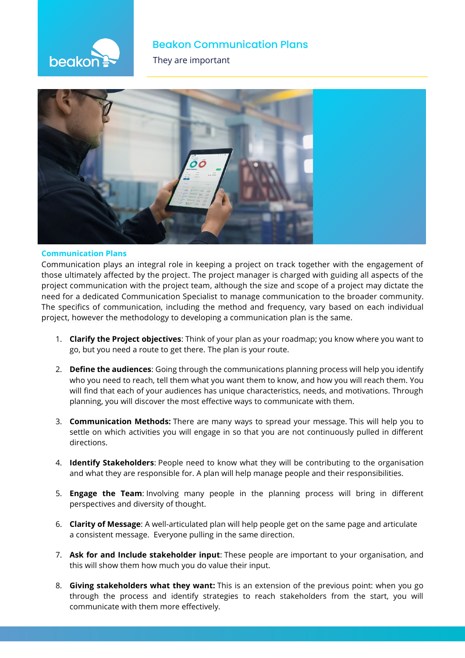

#### **Beakon Communication Plans**

**They are important** 



#### **Communication Plans**

Communication plays an integral role in keeping a project on track together with the engagement of those ultimately affected by the project. The project manager is charged with guiding all aspects of the project communication with the project team, although the size and scope of a project may dictate the need for a dedicated Communication Specialist to manage communication to the broader community. The specifics of communication, including the method and frequency, vary based on each individual project, however the methodology to developing a communication plan is the same.

- 1. **Clarify the Project objectives**: Think of your plan as your roadmap; you know where you want to go, but you need a route to get there. The plan is your route.
- 2. **Define the audiences**: Going through the communications planning process will help you identify who you need to reach, tell them what you want them to know, and how you will reach them. You will find that each of your audiences has unique characteristics, needs, and motivations. Through planning, you will discover the most effective ways to communicate with them.
- 3. **Communication Methods:** There are many ways to spread your message. This will help you to settle on which activities you will engage in so that you are not continuously pulled in different directions.
- 4. **Identify Stakeholders**: People need to know what they will be contributing to the organisation and what they are responsible for. A plan will help manage people and their responsibilities.
- 5. **Engage the Team**: Involving many people in the planning process will bring in different perspectives and diversity of thought.
- 6. **Clarity of Message**: A well-articulated plan will help people get on the same page and articulate a consistent message. Everyone pulling in the same direction.
- 7. **Ask for and Include stakeholder input**: These people are important to your organisation, and this will show them how much you do value their input.
- 8. **Giving stakeholders what they want:** This is an extension of the previous point: when you go through the process and identify strategies to reach stakeholders from the start, you will communicate with them more effectively.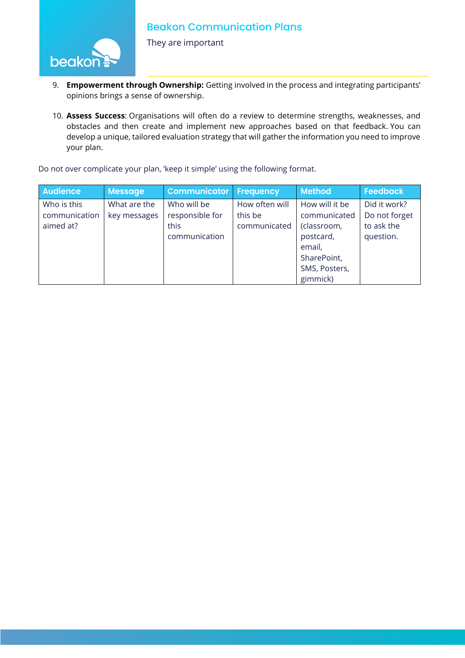beako

9. **Empowerment through Ownership:** Getting involved in the process and integrating participants' opinions brings a sense of ownership.

10. **Assess Success**: Organisations will often do a review to determine strengths, weaknesses, and obstacles and then create and implement new approaches based on that feedback. You can develop a unique, tailored evaluation strategy that will gather the information you need to improve your plan.

Do not over complicate your plan, 'keep it simple' using the following format.

They are important

| <b>Audience</b>                           | <b>Message</b>               | <b>Communicator</b>                                     | Frequency                                 | <b>Method</b>                                                                       | <b>Feedback</b>                                          |
|-------------------------------------------|------------------------------|---------------------------------------------------------|-------------------------------------------|-------------------------------------------------------------------------------------|----------------------------------------------------------|
| Who is this<br>communication<br>aimed at? | What are the<br>key messages | Who will be<br>responsible for<br>this<br>communication | How often will<br>this be<br>communicated | How will it be<br>communicated<br>(classroom,<br>postcard,<br>email,<br>SharePoint, | Did it work?<br>Do not forget<br>to ask the<br>question. |
|                                           |                              |                                                         |                                           | SMS, Posters,<br>gimmick)                                                           |                                                          |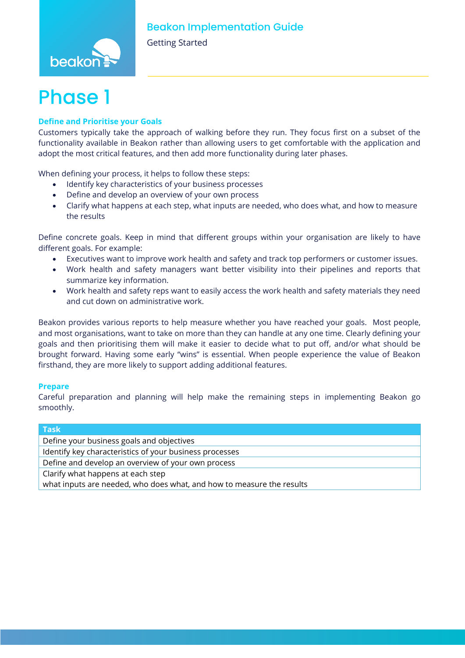

Getting Started

## **Phase**

#### **Define and Prioritise your Goals**

Customers typically take the approach of walking before they run. They focus first on a subset of the functionality available in Beakon rather than allowing users to get comfortable with the application and adopt the most critical features, and then add more functionality during later phases.

When defining your process, it helps to follow these steps:

- Identify key characteristics of your business processes
- Define and develop an overview of your own process
- Clarify what happens at each step, what inputs are needed, who does what, and how to measure the results

Define concrete goals. Keep in mind that different groups within your organisation are likely to have different goals. For example:

- Executives want to improve work health and safety and track top performers or customer issues.
- Work health and safety managers want better visibility into their pipelines and reports that summarize key information.
- Work health and safety reps want to easily access the work health and safety materials they need and cut down on administrative work.

Beakon provides various reports to help measure whether you have reached your goals. Most people, and most organisations, want to take on more than they can handle at any one time. Clearly defining your goals and then prioritising them will make it easier to decide what to put off, and/or what should be brought forward. Having some early "wins" is essential. When people experience the value of Beakon firsthand, they are more likely to support adding additional features.

#### **Prepare**

Careful preparation and planning will help make the remaining steps in implementing Beakon go smoothly.

| <b>Task</b>                                                           |  |  |
|-----------------------------------------------------------------------|--|--|
| Define your business goals and objectives                             |  |  |
| Identify key characteristics of your business processes               |  |  |
| Define and develop an overview of your own process                    |  |  |
| Clarify what happens at each step                                     |  |  |
| what inputs are needed, who does what, and how to measure the results |  |  |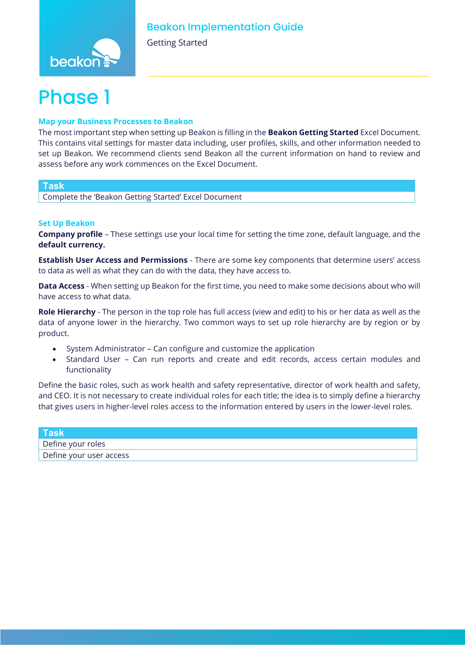

Getting Started

# **Phase** 1

#### **Map your Business Processes to Beakon**

The most important step when setting up Beakon is filling in the **Beakon Getting Started** Excel Document. This contains vital settings for master data including, user profiles, skills, and other information needed to set up Beakon. We recommend clients send Beakon all the current information on hand to review and assess before any work commences on the Excel Document.

#### **Task**

Complete the 'Beakon Getting Started' Excel Document

#### **Set Up Beakon**

**Company profile** – These settings use your local time for setting the time zone, default language, and the **default currency.**

**Establish User Access and Permissions** - There are some key components that determine users' access to data as well as what they can do with the data, they have access to.

**Data Access** - When setting up Beakon for the first time, you need to make some decisions about who will have access to what data.

**Role Hierarchy** - The person in the top role has full access (view and edit) to his or her data as well as the data of anyone lower in the hierarchy. Two common ways to set up role hierarchy are by region or by product.

- System Administrator Can configure and customize the application
- Standard User Can run reports and create and edit records, access certain modules and functionality

Define the basic roles, such as work health and safety representative, director of work health and safety, and CEO. It is not necessary to create individual roles for each title; the idea is to simply define a hierarchy that gives users in higher-level roles access to the information entered by users in the lower-level roles.

| <b>Task</b>             |  |
|-------------------------|--|
| Define your roles       |  |
| Define your user access |  |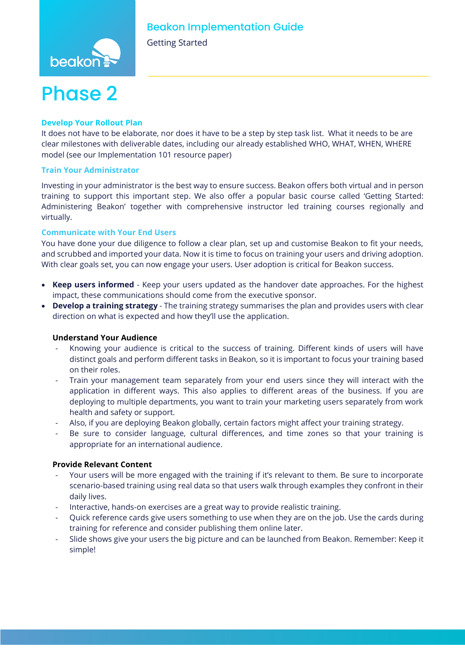Getting Started



#### **Develop Your Rollout Plan**

It does not have to be elaborate, nor does it have to be a step by step task list. What it needs to be are clear milestones with deliverable dates, including our already established WHO, WHAT, WHEN, WHERE model (see our Implementation 101 resource paper)

#### **Train Your Administrator**

Investing in your administrator is the best way to ensure success. Beakon offers both virtual and in person training to support this important step. We also offer a popular basic course called 'Getting Started: Administering Beakon' together with comprehensive instructor led training courses regionally and virtually.

#### **Communicate with Your End Users**

You have done your due diligence to follow a clear plan, set up and customise Beakon to fit your needs, and scrubbed and imported your data. Now it is time to focus on training your users and driving adoption. With clear goals set, you can now engage your users. User adoption is critical for Beakon success.

- **Keep users informed** Keep your users updated as the handover date approaches. For the highest impact, these communications should come from the executive sponsor.
- **Develop a training strategy** The training strategy summarises the plan and provides users with clear direction on what is expected and how they'll use the application.

#### **Understand Your Audience**

- Knowing your audience is critical to the success of training. Different kinds of users will have distinct goals and perform different tasks in Beakon, so it is important to focus your training based on their roles.
- Train your management team separately from your end users since they will interact with the application in different ways. This also applies to different areas of the business. If you are deploying to multiple departments, you want to train your marketing users separately from work health and safety or support.
- Also, if you are deploying Beakon globally, certain factors might affect your training strategy.
- Be sure to consider language, cultural differences, and time zones so that your training is appropriate for an international audience.

#### **Provide Relevant Content**

- Your users will be more engaged with the training if it's relevant to them. Be sure to incorporate scenario-based training using real data so that users walk through examples they confront in their daily lives.
- Interactive, hands-on exercises are a great way to provide realistic training.
- Quick reference cards give users something to use when they are on the job. Use the cards during training for reference and consider publishing them online later.
- Slide shows give your users the big picture and can be launched from Beakon. Remember: Keep it simple!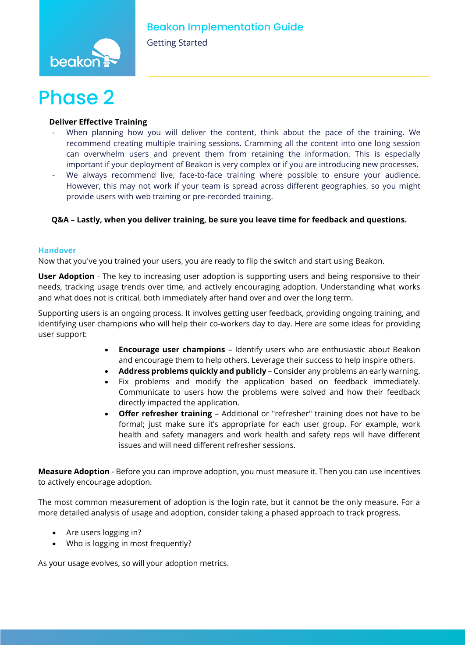

Getting Started

#### **Deliver Effective Training**

- When planning how you will deliver the content, think about the pace of the training. We recommend creating multiple training sessions. Cramming all the content into one long session can overwhelm users and prevent them from retaining the information. This is especially important if your deployment of Beakon is very complex or if you are introducing new processes.
- We always recommend live, face-to-face training where possible to ensure your audience. However, this may not work if your team is spread across different geographies, so you might provide users with web training or pre-recorded training.

#### **Q&A – Lastly, when you deliver training, be sure you leave time for feedback and questions.**

#### **Handover**

Now that you've you trained your users, you are ready to flip the switch and start using Beakon.

**User Adoption** - The key to increasing user adoption is supporting users and being responsive to their needs, tracking usage trends over time, and actively encouraging adoption. Understanding what works and what does not is critical, both immediately after hand over and over the long term.

Supporting users is an ongoing process. It involves getting user feedback, providing ongoing training, and identifying user champions who will help their co-workers day to day. Here are some ideas for providing user support:

- **Encourage user champions** Identify users who are enthusiastic about Beakon and encourage them to help others. Leverage their success to help inspire others.
- **Address problems quickly and publicly** Consider any problems an early warning.
- Fix problems and modify the application based on feedback immediately. Communicate to users how the problems were solved and how their feedback directly impacted the application.
- **Offer refresher training** Additional or "refresher" training does not have to be formal; just make sure it's appropriate for each user group. For example, work health and safety managers and work health and safety reps will have different issues and will need different refresher sessions.

**Measure Adoption** - Before you can improve adoption, you must measure it. Then you can use incentives to actively encourage adoption.

The most common measurement of adoption is the login rate, but it cannot be the only measure. For a more detailed analysis of usage and adoption, consider taking a phased approach to track progress.

- Are users logging in?
- Who is logging in most frequently?

As your usage evolves, so will your adoption metrics.